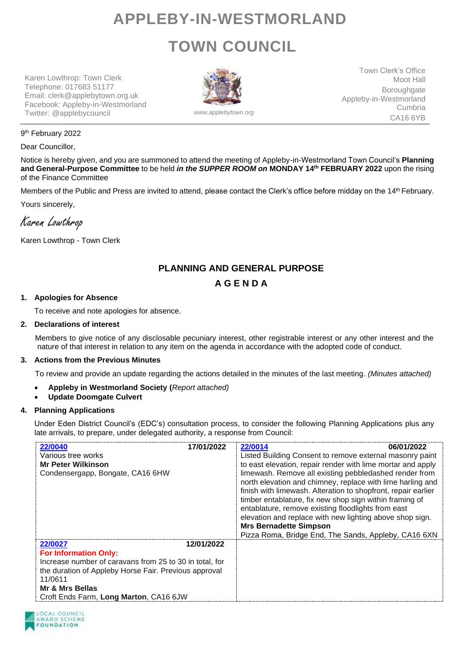# **APPLEBY-IN-WESTMORLAND TOWN COUNCIL**

Karen Lowthrop: Town Clerk Telephone: 017683 51177 Email: clerk@applebytown.org.uk Facebook: Appleby-in-Westmorland Twitter: @applebycouncil *www.applebytown.org*



Town Clerk's Office Moot Hall **Boroughgate** Appleby-in-Westmorland Cumbria CA16 6YB

### 9<sup>th</sup> February 2022

Dear Councillor,

Notice is hereby given, and you are summoned to attend the meeting of Appleby-in-Westmorland Town Council's **Planning and General-Purpose Committee** to be held *in the SUPPER ROOM on* **MONDAY 14th FEBRUARY 2022** upon the rising of the Finance Committee

Members of the Public and Press are invited to attend, please contact the Clerk's office before midday on the 14th February.

Yours sincerely,

Karen Lowthrop

Karen Lowthrop - Town Clerk

# **PLANNING AND GENERAL PURPOSE**

# **A G E N D A**

# **1. Apologies for Absence**

To receive and note apologies for absence.

### **2. Declarations of interest**

Members to give notice of any disclosable pecuniary interest, other registrable interest or any other interest and the nature of that interest in relation to any item on the agenda in accordance with the adopted code of conduct.

# **3. Actions from the Previous Minutes**

To review and provide an update regarding the actions detailed in the minutes of the last meeting. *(Minutes attached)*

• **Appleby in Westmorland Society (***Report attached)*

# • **Update Doomgate Culvert**

# **4. Planning Applications**

Under Eden District Council's (EDC's) consultation process, to consider the following Planning Applications plus any late arrivals, to prepare, under delegated authority, a response from Council:

| 17/01/2022<br>22/0040<br>Various tree works<br><b>Mr Peter Wilkinson</b><br>Condensergapp, Bongate, CA16 6HW                                                                                                                                      | 22/0014<br>06/01/2022<br>Listed Building Consent to remove external masonry paint<br>to east elevation, repair render with lime mortar and apply<br>limewash. Remove all existing pebbledashed render from<br>north elevation and chimney, replace with lime harling and<br>finish with limewash. Alteration to shopfront, repair earlier<br>timber entablature, fix new shop sign within framing of<br>entablature, remove existing floodlights from east<br>elevation and replace with new lighting above shop sign.<br><b>Mrs Bernadette Simpson</b><br>Pizza Roma, Bridge End, The Sands, Appleby, CA16 6XN |
|---------------------------------------------------------------------------------------------------------------------------------------------------------------------------------------------------------------------------------------------------|-----------------------------------------------------------------------------------------------------------------------------------------------------------------------------------------------------------------------------------------------------------------------------------------------------------------------------------------------------------------------------------------------------------------------------------------------------------------------------------------------------------------------------------------------------------------------------------------------------------------|
| 22/0027<br>12/01/2022<br><b>For Information Only:</b><br>Increase number of caravans from 25 to 30 in total, for<br>the duration of Appleby Horse Fair. Previous approval<br>11/0611<br>Mr & Mrs Bellas<br>Croft Ends Farm, Long Marton, CA16 6JW |                                                                                                                                                                                                                                                                                                                                                                                                                                                                                                                                                                                                                 |

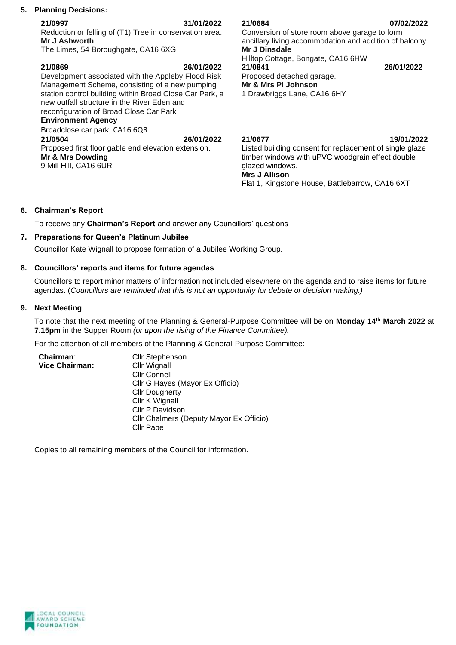# **5. Planning Decisions:**

**21/0997 31/01/2022** Reduction or felling of (T1) Tree in conservation area.

**Mr J Ashworth** The Limes, 54 Boroughgate, CA16 6XG

| 21/0869<br>26/01/2022<br>Development associated with the Appleby Flood Risk<br>Management Scheme, consisting of a new pumping<br>station control building within Broad Close Car Park, a<br>new outfall structure in the River Eden and<br>reconfiguration of Broad Close Car Park<br><b>Environment Agency</b><br>Broadclose car park, CA16 6QR<br>21/0504<br>26/01/2022 |
|---------------------------------------------------------------------------------------------------------------------------------------------------------------------------------------------------------------------------------------------------------------------------------------------------------------------------------------------------------------------------|
| Proposed first floor gable end elevation extension.                                                                                                                                                                                                                                                                                                                       |
| Mr & Mrs Dowding<br>9 Mill Hill, CA16 6UR                                                                                                                                                                                                                                                                                                                                 |

**21/0684 07/02/2022** Conversion of store room above garage to form ancillary living accommodation and addition of balcony. **Mr J Dinsdale** Hilltop Cottage, Bongate, CA16 6HW<br>21/0841

# Proposed detached garage.

**Mr & Mrs PI Johnson**

1 Drawbriggs Lane, CA16 6HY

**21/0677 19/01/2022**

**21/0841 26/01/2022**

Listed building consent for replacement of single glaze timber windows with uPVC woodgrain effect double glazed windows. **Mrs J Allison**

Flat 1, Kingstone House, Battlebarrow, CA16 6XT

# **6. Chairman's Report**

To receive any **Chairman's Report** and answer any Councillors' questions

# **7. Preparations for Queen's Platinum Jubilee**

Councillor Kate Wignall to propose formation of a Jubilee Working Group.

# **8. Councillors' reports and items for future agendas**

Councillors to report minor matters of information not included elsewhere on the agenda and to raise items for future agendas. (*Councillors are reminded that this is not an opportunity for debate or decision making.)*

# **9. Next Meeting**

To note that the next meeting of the Planning & General-Purpose Committee will be on **Monday 14th March 2022** at **7.15pm** in the Supper Room *(or upon the rising of the Finance Committee).*

For the attention of all members of the Planning & General-Purpose Committee: -

| Chairman:             | <b>Cllr Stephenson</b>                  |
|-----------------------|-----------------------------------------|
| <b>Vice Chairman:</b> | Cllr Wignall                            |
|                       | <b>Cllr Connell</b>                     |
|                       | Cllr G Hayes (Mayor Ex Officio)         |
|                       | <b>Cllr Dougherty</b>                   |
|                       | Cllr K Wignall                          |
|                       | Cllr P Davidson                         |
|                       | Cllr Chalmers (Deputy Mayor Ex Officio) |
|                       | <b>Cllr Pape</b>                        |

Copies to all remaining members of the Council for information.

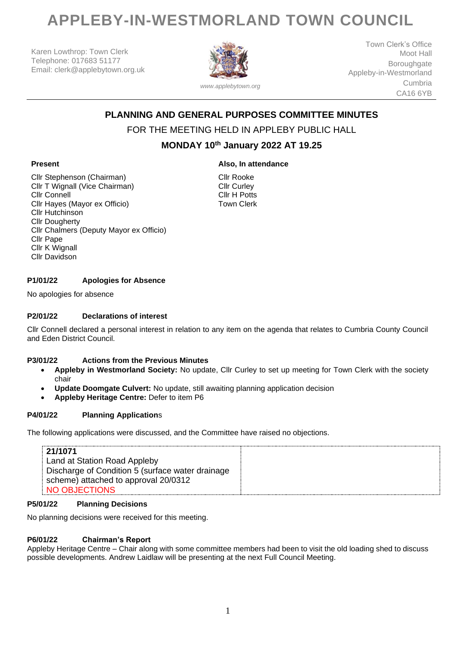# **APPLEBY-IN-WESTMORLAND TOWN COUNCIL**

Karen Lowthrop: Town Clerk Telephone: 017683 51177 Email: clerk@applebytown.org.uk



*www.applebytown.org*

Town Clerk's Office Moot Hall Boroughgate Appleby-in-Westmorland Cumbria CA16 6YB

# **PLANNING AND GENERAL PURPOSES COMMITTEE MINUTES**

# FOR THE MEETING HELD IN APPLEBY PUBLIC HALL

# **MONDAY 10th January 2022 AT 19.25**

**Also, In attendance**

# **Present**

Cllr Stephenson (Chairman) Cllr T Wignall (Vice Chairman) Cllr Connell Cllr Hayes (Mayor ex Officio) Cllr Hutchinson Cllr Dougherty Cllr Chalmers (Deputy Mayor ex Officio) Cllr Pape Cllr K Wignall Cllr Davidson

Cllr Rooke Cllr Curley Cllr H Potts Town Clerk

# **P1/01/22 Apologies for Absence**

No apologies for absence

#### **P2/01/22 Declarations of interest**

Cllr Connell declared a personal interest in relation to any item on the agenda that relates to Cumbria County Council and Eden District Council.

#### **P3/01/22 Actions from the Previous Minutes**

- **Appleby in Westmorland Society:** No update, Cllr Curley to set up meeting for Town Clerk with the society chair
- **Update Doomgate Culvert:** No update, still awaiting planning application decision
- **Appleby Heritage Centre:** Defer to item P6

#### **P4/01/22 Planning Application**s

The following applications were discussed, and the Committee have raised no objections.

| 21/1071                                          |  |
|--------------------------------------------------|--|
|                                                  |  |
| Land at Station Road Appleby                     |  |
| Discharge of Condition 5 (surface water drainage |  |
| scheme) attached to approval 20/0312             |  |
| NO OBJECTIONS                                    |  |

#### **P5/01/22 Planning Decisions**

No planning decisions were received for this meeting.

#### **P6/01/22 Chairman's Report**

Appleby Heritage Centre – Chair along with some committee members had been to visit the old loading shed to discuss possible developments. Andrew Laidlaw will be presenting at the next Full Council Meeting.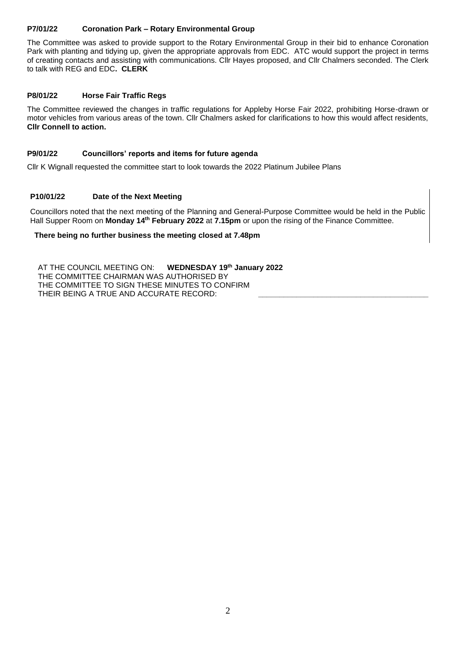# **P7/01/22 Coronation Park – Rotary Environmental Group**

The Committee was asked to provide support to the Rotary Environmental Group in their bid to enhance Coronation Park with planting and tidying up, given the appropriate approvals from EDC. ATC would support the project in terms of creating contacts and assisting with communications. Cllr Hayes proposed, and Cllr Chalmers seconded. The Clerk to talk with REG and EDC**. CLERK**

### **P8/01/22 Horse Fair Traffic Regs**

The Committee reviewed the changes in traffic regulations for Appleby Horse Fair 2022, prohibiting Horse-drawn or motor vehicles from various areas of the town. Cllr Chalmers asked for clarifications to how this would affect residents, **Cllr Connell to action.**

### **P9/01/22 Councillors' reports and items for future agenda**

Cllr K Wignall requested the committee start to look towards the 2022 Platinum Jubilee Plans

# **P10/01/22 Date of the Next Meeting**

Councillors noted that the next meeting of the Planning and General-Purpose Committee would be held in the Public Hall Supper Room on **Monday 14th February 2022** at **7.15pm** or upon the rising of the Finance Committee.

#### **There being no further business the meeting closed at 7.48pm**

AT THE COUNCIL MEETING ON: **WEDNESDAY 19th January 2022** THE COMMITTEE CHAIRMAN WAS AUTHORISED BY THE COMMITTEE TO SIGN THESE MINUTES TO CONFIRM THEIR BEING A TRUE AND ACCURATE RECORD: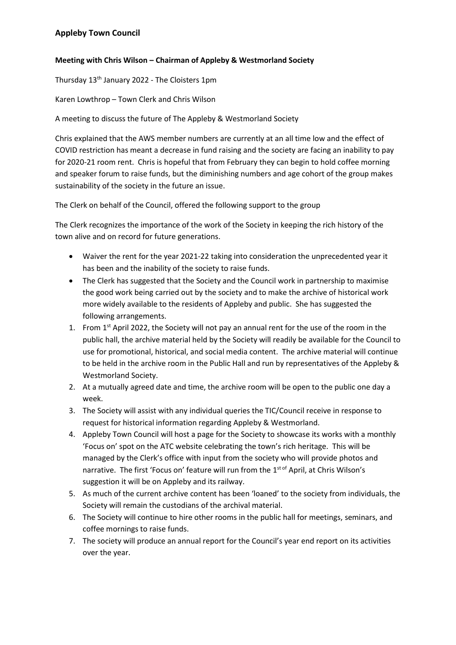# **Appleby Town Council**

# **Meeting with Chris Wilson – Chairman of Appleby & Westmorland Society**

Thursday 13th January 2022 - The Cloisters 1pm

Karen Lowthrop – Town Clerk and Chris Wilson

A meeting to discuss the future of The Appleby & Westmorland Society

Chris explained that the AWS member numbers are currently at an all time low and the effect of COVID restriction has meant a decrease in fund raising and the society are facing an inability to pay for 2020-21 room rent. Chris is hopeful that from February they can begin to hold coffee morning and speaker forum to raise funds, but the diminishing numbers and age cohort of the group makes sustainability of the society in the future an issue.

The Clerk on behalf of the Council, offered the following support to the group

The Clerk recognizes the importance of the work of the Society in keeping the rich history of the town alive and on record for future generations.

- Waiver the rent for the year 2021-22 taking into consideration the unprecedented year it has been and the inability of the society to raise funds.
- The Clerk has suggested that the Society and the Council work in partnership to maximise the good work being carried out by the society and to make the archive of historical work more widely available to the residents of Appleby and public. She has suggested the following arrangements.
- 1. From 1<sup>st</sup> April 2022, the Society will not pay an annual rent for the use of the room in the public hall, the archive material held by the Society will readily be available for the Council to use for promotional, historical, and social media content. The archive material will continue to be held in the archive room in the Public Hall and run by representatives of the Appleby & Westmorland Society.
- 2. At a mutually agreed date and time, the archive room will be open to the public one day a week.
- 3. The Society will assist with any individual queries the TIC/Council receive in response to request for historical information regarding Appleby & Westmorland.
- 4. Appleby Town Council will host a page for the Society to showcase its works with a monthly 'Focus on' spot on the ATC website celebrating the town's rich heritage. This will be managed by the Clerk's office with input from the society who will provide photos and narrative. The first 'Focus on' feature will run from the 1<sup>st of</sup> April, at Chris Wilson's suggestion it will be on Appleby and its railway.
- 5. As much of the current archive content has been 'loaned' to the society from individuals, the Society will remain the custodians of the archival material.
- 6. The Society will continue to hire other rooms in the public hall for meetings, seminars, and coffee mornings to raise funds.
- 7. The society will produce an annual report for the Council's year end report on its activities over the year.